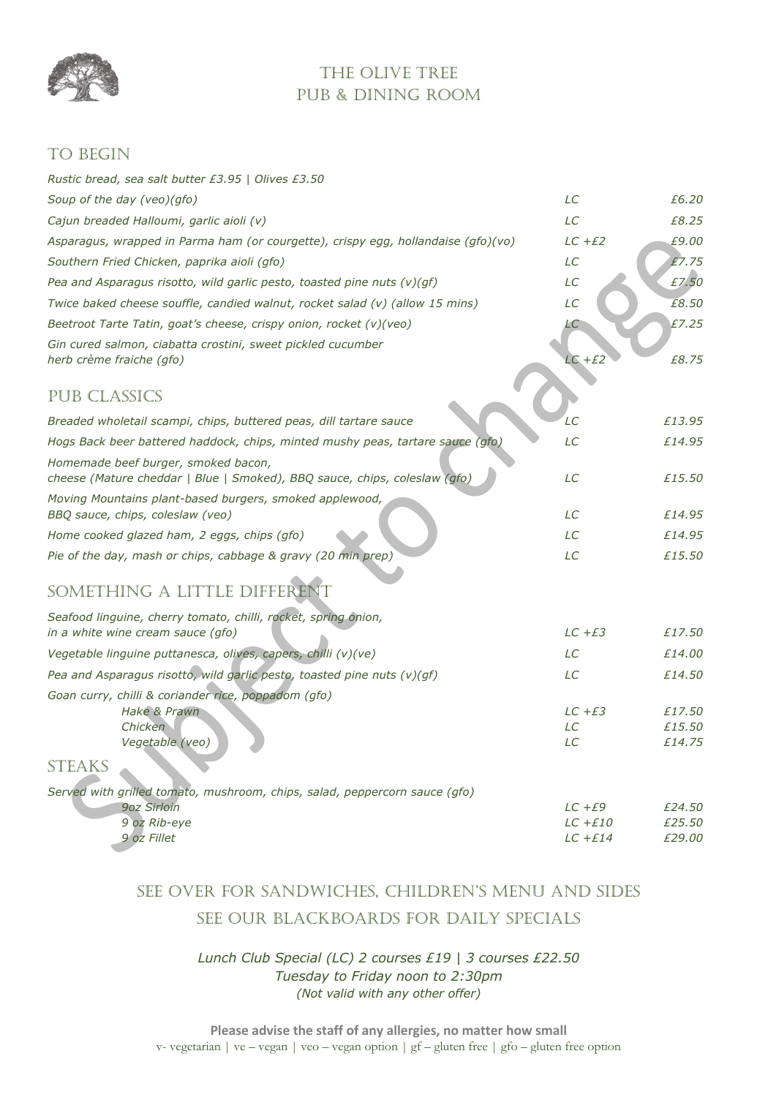

## THE OLIVE TREE PUB & DINING ROOM

### TO BEGIN

| Rustic bread, sea salt butter £3.95   Olives £3.50                                                               |                         |                  |
|------------------------------------------------------------------------------------------------------------------|-------------------------|------------------|
| Soup of the day (veo)(gfo)                                                                                       | LC                      | £6.20            |
| Cajun breaded Halloumi, garlic aioli (v)                                                                         | LC                      | £8.25            |
| Asparagus, wrapped in Parma ham (or courgette), crispy egg, hollandaise (gfo)(vo)                                | $LC + E2$               | £9.00            |
| Southern Fried Chicken, paprika aioli (gfo)                                                                      | LC                      | £7.75            |
| Pea and Asparagus risotto, wild garlic pesto, toasted pine nuts $(v)(gf)$                                        | LC                      | £7.50            |
| Twice baked cheese souffle, candied walnut, rocket salad (v) (allow 15 mins)                                     | LC                      | £8.50            |
| Beetroot Tarte Tatin, goat's cheese, crispy onion, rocket (v)(veo)                                               | LС                      | £7.25            |
| Gin cured salmon, ciabatta crostini, sweet pickled cucumber<br>herb crème fraiche (gfo)                          | $LC + E2$               | £8.75            |
| <b>PUB CLASSICS</b>                                                                                              |                         |                  |
| Breaded wholetail scampi, chips, buttered peas, dill tartare sauce                                               | LС                      | £13.95           |
| Hogs Back beer battered haddock, chips, minted mushy peas, tartare sauce (gfo)                                   | LC                      | £14.95           |
| Homemade beef burger, smoked bacon,<br>cheese (Mature cheddar   Blue   Smoked), BBQ sauce, chips, coleslaw (gfo) | LC                      | £15.50           |
| Moving Mountains plant-based burgers, smoked applewood,                                                          |                         |                  |
| BBQ sauce, chips, coleslaw (veo)                                                                                 | LC                      | £14.95           |
| Home cooked glazed ham, 2 eggs, chips (gfo)                                                                      | LC                      | £14.95           |
| Pie of the day, mash or chips, cabbage & gravy (20 min prep)                                                     | LC                      | £15.50           |
| SOMETHING A LITTLE DIFFERENT                                                                                     |                         |                  |
| Seafood linguine, cherry tomato, chilli, rocket, spring onion,<br>in a white wine cream sauce (qfo)              | $LC + E3$               | £17.50           |
| Vegetable linguine puttanesca, olives, capers, chilli (v)(ve)                                                    | LC                      | £14.00           |
| Pea and Asparagus risotto, wild garlic pesto, toasted pine nuts (v)(gf)                                          | LC                      | £14.50           |
| Goan curry, chilli & coriander rice, poppadom (gfo)                                                              |                         |                  |
| Hake & Prawn                                                                                                     | $LC + E3$               | £17.50           |
| <b>Chicken</b><br>Vegetable (veo)                                                                                | LC<br>LC                | £15.50<br>£14.75 |
|                                                                                                                  |                         |                  |
| <b>STEAKS</b>                                                                                                    |                         |                  |
| Served with grilled tomato, mushroom, chips, salad, peppercorn sauce (gfo)                                       |                         |                  |
| 9oz Sirloin<br>9 oz Rib-eye                                                                                      | $LC + E9$<br>$LC + E10$ | £24.50<br>£25.50 |
| 9 oz Fillet                                                                                                      | $LC$ + $E14$            | £29.00           |

# SEE OVER FOR SANDWICHES, CHILDREN'S MENU AND SIDES SEE OUR BLACKBOARDS FOR DAILY SPECIALS

#### *Lunch Club Special (LC) 2 courses £19 | 3 courses £22.50 Tuesday to Friday noon to 2:30pm (Not valid with any other offer)*